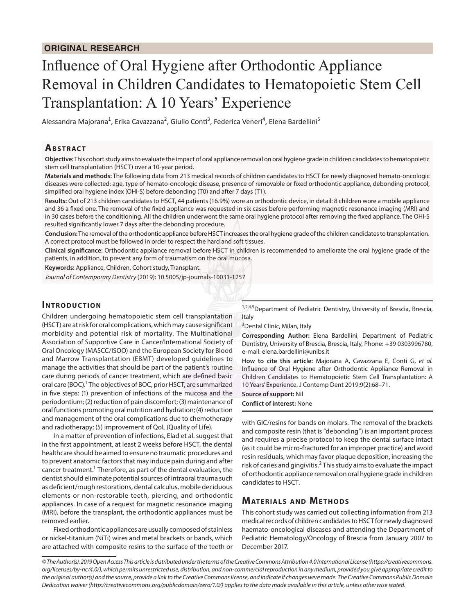# Influence of Oral Hygiene after Orthodontic Appliance Removal in Children Candidates to Hematopoietic Stem Cell Transplantation: A 10 Years' Experience

Alessandra Majorana<sup>1</sup>, Erika Cavazzana<sup>2</sup>, Giulio Conti<sup>3</sup>, Federica Veneri<sup>4</sup>, Elena Bardellini<sup>5</sup>

## **ABSTRACT**

**Objective:** This cohort study aims to evaluate the impact of oral appliance removal on oral hygiene grade in children candidates to hematopoietic stem cell transplantation (HSCT) over a 10-year period.

**Materials and methods:** The following data from 213 medical records of children candidates to HSCT for newly diagnosed hemato-oncologic diseases were collected: age, type of hemato-oncologic disease, presence of removable or fixed orthodontic appliance, debonding protocol, simplified oral hygiene index (OHI-S) before debonding (T0) and after 7 days (T1).

**Results:** Out of 213 children candidates to HSCT, 44 patients (16.9%) wore an orthodontic device, in detail: 8 children wore a mobile appliance and 36 a fixed one. The removal of the fixed appliance was requested in six cases before performing magnetic resonance imaging (MRI) and in 30 cases before the conditioning. All the children underwent the same oral hygiene protocol after removing the fixed appliance. The OHI-S resulted significantly lower 7 days after the debonding procedure.

**Conclusion:** The removal of the orthodontic appliance before HSCT increases the oral hygiene grade of the children candidates to transplantation. A correct protocol must be followed in order to respect the hard and soft tissues.

**Clinical significance:** Orthodontic appliance removal before HSCT in children is recommended to ameliorate the oral hygiene grade of the patients, in addition, to prevent any form of traumatism on the oral mucosa.

**Keywords:** Appliance, Children, Cohort study, Transplant.

*Journal of Contemporary Dentistry* (2019): 10.5005/jp-journals-10031-1257

### **INTRODUCTION**

Children undergoing hematopoietic stem cell transplantation (HSCT) are at risk for oral complications, which may cause significant morbidity and potential risk of mortality. The Multinational Association of Supportive Care in Cancer/International Society of Oral Oncology (MASCC/ISOO) and the European Society for Blood and Marrow Transplantation (EBMT) developed guidelines to manage the activities that should be part of the patient's routine care during periods of cancer treatment, which are defined basic oral care (BOC).<sup>1</sup> The objectives of BOC, prior HSCT, are summarized in five steps: (1) prevention of infections of the mucosa and the periodontium; (2) reduction of pain discomfort; (3) maintenance of oral functions promoting oral nutrition and hydration; (4) reduction and management of the oral complications due to chemotherapy and radiotherapy; (5) improvement of QoL (Quality of Life).

In a matter of prevention of infections, Elad et al. suggest that in the first appointment, at least 2 weeks before HSCT, the dental healthcare should be aimed to ensure no traumatic procedures and to prevent anatomic factors that may induce pain during and after cancer treatment.<sup>1</sup> Therefore, as part of the dental evaluation, the dentist should eliminate potential sources of intraoral trauma such as deficient/rough restorations, dental calculus, mobile deciduous elements or non-restorable teeth, piercing, and orthodontic appliances. In case of a request for magnetic resonance imaging (MRI), before the transplant, the orthodontic appliances must be removed earlier.

Fixed orthodontic appliances are usually composed of stainless or nickel-titanium (NiTi) wires and metal brackets or bands, which are attached with composite resins to the surface of the teeth or

<sup>1,2,4,5</sup>Department of Pediatric Dentistry, University of Brescia, Brescia, Italy

<sup>3</sup>Dental Clinic, Milan, Italy

**Corresponding Author:** Elena Bardellini, Department of Pediatric Dentistry, University of Brescia, Brescia, Italy, Phone: +39 0303996780, e-mail: elena.bardellini@unibs.it

**How to cite this article:** Majorana A, Cavazzana E, Conti G, *et al.* Influence of Oral Hygiene after Orthodontic Appliance Removal in Children Candidates to Hematopoietic Stem Cell Transplantation: A 10 Years' Experience. J Contemp Dent 2019;9(2):68–71.

**Source of support:** Nil

**Conflict of interest:** None

with GIC/resins for bands on molars. The removal of the brackets and composite resin (that is "debonding") is an important process and requires a precise protocol to keep the dental surface intact (as it could be micro-fractured for an improper practice) and avoid resin residuals, which may favor plaque deposition, increasing the risk of caries and gingivitis.<sup>2</sup> This study aims to evaluate the impact of orthodontic appliance removal on oral hygiene grade in children candidates to HSCT.

#### **MATERIALS AND METHODS**

This cohort study was carried out collecting information from 213 medical records of children candidates to HSCT for newly diagnosed haemato-oncological diseases and attending the Department of Pediatric Hematology/Oncology of Brescia from January 2007 to December 2017.

*<sup>©</sup> The Author(s). 2019 Open Access This article is distributed under the terms of the Creative Commons Attribution 4.0 International License (https://creativecommons. org/licenses/by-nc/4.0/), which permits unrestricted use, distribution, and non-commercial reproduction in any medium, provided you give appropriate credit to the original author(s) and the source, provide a link to the Creative Commons license, and indicate if changes were made. The Creative Commons Public Domain Dedication waiver (http://creativecommons.org/publicdomain/zero/1.0/) applies to the data made available in this article, unless otherwise stated.*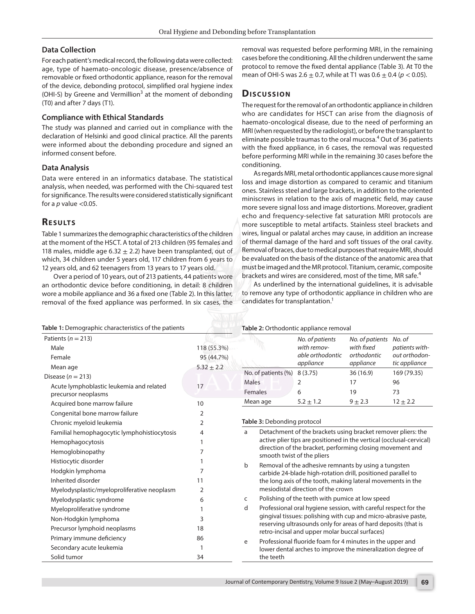#### **Data Collection**

For each patient's medical record, the following data were collected: age, type of haemato-oncologic disease, presence/absence of removable or fixed orthodontic appliance, reason for the removal of the device, debonding protocol, simplified oral hygiene index (OHI-S) by Greene and Vermillion<sup>3</sup> at the moment of debonding (T0) and after 7 days (T1).

#### **Compliance with Ethical Standards**

The study was planned and carried out in compliance with the declaration of Helsinki and good clinical practice. All the parents were informed about the debonding procedure and signed an informed consent before.

#### **Data Analysis**

Data were entered in an informatics database. The statistical analysis, when needed, was performed with the Chi-squared test for significance. The results were considered statistically significant for a  $p$  value  $<$ 0.05.

# **RESULTS**

Table 1 summarizes the demographic characteristics of the children at the moment of the HSCT. A total of 213 children (95 females and 118 males, middle age 6.32  $\pm$  2.2) have been transplanted, out of which, 34 children under 5 years old, 117 children from 6 years to 12 years old, and 62 teenagers from 13 years to 17 years old.

Over a period of 10 years, out of 213 patients, 44 patients wore an orthodontic device before conditioning, in detail: 8 children wore a mobile appliance and 36 a fixed one (Table 2). In this latter, removal of the fixed appliance was performed. In six cases, the

removal was requested before performing MRI, in the remaining cases before the conditioning. All the children underwent the same protocol to remove the fixed dental appliance (Table 3). At T0 the mean of OHI-S was 2.6  $\pm$  0.7, while at T1 was 0.6  $\pm$  0.4 ( $p$  < 0.05).

# **Dis c u s sio n**

The request for the removal of an orthodontic appliance in children who are candidates for HSCT can arise from the diagnosis of haemato-oncological disease, due to the need of performing an MRI (when requested by the radiologist), or before the transplant to eliminate possible traumas to the oral mucosa.<sup>4</sup> Out of 36 patients with the fixed appliance, in 6 cases, the removal was requested before performing MRI while in the remaining 30 cases before the conditioning.

As regards MRI, metal orthodontic appliances cause more signal loss and image distortion as compared to ceramic and titanium ones. Stainless steel and large brackets, in addition to the oriented miniscrews in relation to the axis of magnetic field, may cause more severe signal loss and image distortions. Moreover, gradient echo and frequency-selective fat saturation MRI protocols are more susceptible to metal artifacts. Stainless steel brackets and wires, lingual or palatal arches may cause, in addition an increase of thermal damage of the hard and soft tissues of the oral cavity. Removal of braces, due to medical purposes that require MRI, should be evaluated on the basis of the distance of the anatomic area that must be imaged and the MR protocol. Titanium, ceramic, composite brackets and wires are considered, most of the time, MR safe.<sup>4</sup>

As underlined by the international guidelines, it is advisable to remove any type of orthodontic appliance in children who are candidates for transplantation.<sup>1</sup>

| Table 1: Demographic characteristics of the patients                                                                            |                                             | Table 2: Orthodontic appliance removal                                                                                                                                                                                                                                                                                                                                                                                                                                                                                                                        |                                                                                                                                                                                                                                                       |                                                           |                                                            |  |
|---------------------------------------------------------------------------------------------------------------------------------|---------------------------------------------|---------------------------------------------------------------------------------------------------------------------------------------------------------------------------------------------------------------------------------------------------------------------------------------------------------------------------------------------------------------------------------------------------------------------------------------------------------------------------------------------------------------------------------------------------------------|-------------------------------------------------------------------------------------------------------------------------------------------------------------------------------------------------------------------------------------------------------|-----------------------------------------------------------|------------------------------------------------------------|--|
| Patients ( $n = 213$ )<br>Male<br>Female<br>Mean age                                                                            | 118 (55.3%)<br>95 (44.7%)<br>$5.32 \pm 2.2$ |                                                                                                                                                                                                                                                                                                                                                                                                                                                                                                                                                               | No. of patients<br>with remov-<br>able orthodontic<br>appliance                                                                                                                                                                                       | No. of patients<br>with fixed<br>orthodontic<br>appliance | No. of<br>patients with-<br>out orthodon-<br>tic appliance |  |
| Disease ( $n = 213$ )<br>17<br>Acute lymphoblastic leukemia and related<br>precursor neoplasms                                  |                                             | No. of patients (%)<br>Males<br>Females<br>Mean age                                                                                                                                                                                                                                                                                                                                                                                                                                                                                                           | 8(3.75)<br>2<br>6<br>$5.2 \pm 1.2$                                                                                                                                                                                                                    | 36(16.9)<br>17<br>19<br>$9 + 2.3$                         | 169 (79.35)<br>96<br>73<br>$12 \pm 2.2$                    |  |
| Acquired bone marrow failure<br>Congenital bone marrow failure<br>Chronic myeloid leukemia                                      | 10<br>2<br>$\mathcal{P}$                    | Table 3: Debonding protocol<br>Detachment of the brackets using bracket remover pliers: the<br>a<br>active plier tips are positioned in the vertical (occlusal-cervical)<br>direction of the bracket, performing closing movement and<br>smooth twist of the pliers<br>Removal of the adhesive remnants by using a tungsten<br>b<br>carbide 24-blade high-rotation drill, positioned parallel to<br>the long axis of the tooth, making lateral movements in the<br>mesiodistal direction of the crown<br>Polishing of the teeth with pumice at low speed<br>C |                                                                                                                                                                                                                                                       |                                                           |                                                            |  |
| Familial hemophagocytic lymphohistiocytosis<br>Hemophagocytosis<br>Hemoglobinopathy<br>Histiocytic disorder<br>Hodgkin lymphoma | 4<br>7                                      |                                                                                                                                                                                                                                                                                                                                                                                                                                                                                                                                                               |                                                                                                                                                                                                                                                       |                                                           |                                                            |  |
| Inherited disorder<br>Myelodysplastic/myeloproliferative neoplasm                                                               | 11<br>2                                     |                                                                                                                                                                                                                                                                                                                                                                                                                                                                                                                                                               |                                                                                                                                                                                                                                                       |                                                           |                                                            |  |
| Myelodysplastic syndrome<br>Myeloproliferative syndrome<br>Non-Hodgkin lymphoma<br>Precursor lymphoid neoplasms                 | 6<br>3<br>18                                | d                                                                                                                                                                                                                                                                                                                                                                                                                                                                                                                                                             | Professional oral hygiene session, with careful respect for the<br>gingival tissues: polishing with cup and micro-abrasive paste,<br>reserving ultrasounds only for areas of hard deposits (that is<br>retro-incisal and upper molar buccal surfaces) |                                                           |                                                            |  |
| Primary immune deficiency<br>Secondary acute leukemia<br>Solid tumor                                                            | 86<br>34                                    | Professional fluoride foam for 4 minutes in the upper and<br>e<br>lower dental arches to improve the mineralization degree of<br>the teeth                                                                                                                                                                                                                                                                                                                                                                                                                    |                                                                                                                                                                                                                                                       |                                                           |                                                            |  |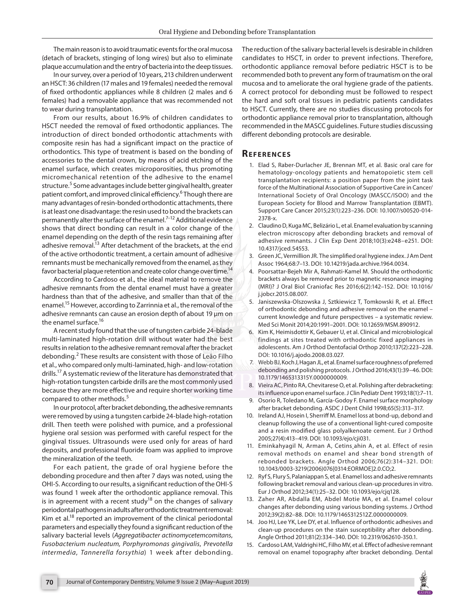The main reason is to avoid traumatic events for the oral mucosa (detach of brackets, stinging of long wires) but also to eliminate plaque accumulation and the entry of bacteria into the deep tissues.

In our survey, over a period of 10 years, 213 children underwent an HSCT: 36 children (17 males and 19 females) needed the removal of fixed orthodontic appliances while 8 children (2 males and 6 females) had a removable appliance that was recommended not to wear during transplantation.

From our results, about 16.9% of children candidates to HSCT needed the removal of fixed orthodontic appliances. The introduction of direct bonded orthodontic attachments with composite resin has had a significant impact on the practice of orthodontics. This type of treatment is based on the bonding of accessories to the dental crown, by means of acid etching of the enamel surface, which creates microporosities, thus promoting micromechanical retention of the adhesive to the enamel structure.<sup>5</sup> Some advantages include better gingival health, greater patient comfort, and improved clinical efficiency.<sup>6</sup> Though there are many advantages of resin-bonded orthodontic attachments, there is at least one disadvantage: the resin used to bond the brackets can permanently alter the surface of the enamel.<sup>7-12</sup> Additional evidence shows that direct bonding can result in a color change of the enamel depending on the depth of the resin tags remaining after adhesive removal.<sup>13</sup> After detachment of the brackets, at the end of the active orthodontic treatment, a certain amount of adhesive remnants must be mechanically removed from the enamel, as they favor bacterial plaque retention and create color change over time.<sup>14</sup>

According to Cardoso et al., the ideal material to remove the adhesive remnants from the dental enamel must have a greater hardness than that of the adhesive, and smaller than that of the enamel.15 However, according to Zarrinnia et al., the removal of the adhesive remnants can cause an erosion depth of about 19 μm on the enamel surface.<sup>16</sup>

A recent study found that the use of tungsten carbide 24-blade multi-laminated high-rotation drill without water had the best results in relation to the adhesive remnant removal after the bracket debonding.<sup>2</sup> These results are consistent with those of Leão Filho et al., who compared only multi-laminated, high- and low-rotation drills.17 A systematic review of the literature has demonstrated that high-rotation tungsten carbide drills are the most commonly used because they are more effective and require shorter working time compared to other methods.<sup>5</sup>

In our protocol, after bracket debonding, the adhesive remnants were removed by using a tungsten carbide 24-blade high-rotation drill. Then teeth were polished with pumice, and a professional hygiene oral session was performed with careful respect for the gingival tissues. Ultrasounds were used only for areas of hard deposits, and professional fluoride foam was applied to improve the mineralization of the teeth.

For each patient, the grade of oral hygiene before the debonding procedure and then after 7 days was noted, using the OHI-S. According to our results, a significant reduction of the OHI-S was found 1 week after the orthodontic appliance removal. This is in agreement with a recent study<sup>18</sup> on the changes of salivary periodontal pathogens in adults after orthodontic treatment removal: Kim et al.<sup>18</sup> reported an improvement of the clinical periodontal parameters and especially they found a significant reduction of the salivary bacterial levels (*Aggregatibacter actinomycetemcomitans*, *Fusobacterium nucleatum, Porphyromonas gingivalis*, *Prevotella intermedia*, *Tannerella forsythia*) 1 week after debonding.

The reduction of the salivary bacterial levels is desirable in children candidates to HSCT, in order to prevent infections. Therefore, orthodontic appliance removal before pediatric HSCT is to be recommended both to prevent any form of traumatism on the oral mucosa and to ameliorate the oral hygiene grade of the patients. A correct protocol for debonding must be followed to respect the hard and soft oral tissues in pediatric patients candidates to HSCT. Currently, there are no studies discussing protocols for orthodontic appliance removal prior to transplantation, although recommended in the MASCC guidelines. Future studies discussing different debonding protocols are desirable.

#### **Re f e r e n c e s**

- 1. Elad S, Raber-Durlacher JE, Brennan MT, et al. Basic oral care for hematology-oncology patients and hematopoietic stem cell transplantation recipients: a position paper from the joint task force of the Multinational Association of Supportive Care in Cancer/ International Society of Oral Oncology (MASCC/ISOO) and the European Society for Blood and Marrow Transplantation (EBMT). Support Care Cancer 2015;23(1):223–236. DOI: 10.1007/s00520-014- 2378-x.
- 2. Claudino D, Kuga MC, Belizário L, et al. Enamel evaluation by scanning electron microscopy after debonding brackets and removal of adhesive remnants. J Clin Exp Dent 2018;10(3):e248–e251. DOI: 10.4317/jced.54553.
- 3. Green JC, Vermillion JR. The simplified oral hygiene index. J Am Dent Assoc 1964;68:7–13. DOI: 10.14219/jada.archive.1964.0034.
- 4. Poorsattar-Bejeh Mir A, Rahmati-Kamel M. Should the orthodontic brackets always be removed prior to magnetic resonance imaging (MRI)? J Oral Biol Craniofac Res 2016;6(2):142–152. DOI: 10.1016/ j.jobcr.2015.08.007.
- 5. Janiszewska-Olszowska J, Sztkiewicz T, Tomkowski R, et al. Effect of orthodontic debonding and adhesive removal on the enamel – current knowledge and future perspectives – a systematic review. Med Sci Monit 2014;20:1991–2001. DOI: 10.12659/MSM.890912.
- 6. Kim K, Heimisdottir K, Gebauer U, et al. Clinical and microbiological findings at sites treated with orthodontic fixed appliances in adolescents. Am J Orthod Dentofacial Orthop 2010;137(2):223–228. DOI: 10.1016/j.ajodo.2008.03.027.
- 7. Webb BJ, Koch J, Hagan JL, et al. Enamel surface roughness of preferred debonding and polishing protocols. J Orthod 2016;43(1):39–46. DOI: 10.1179/1465313315Y.0000000009.
- 8. Vieira AC, Pinto RA, Chevitarese O, et al. Polishing after debracketing: its influence upon enamel surface. J Clin Pediatr Dent 1993;18(1):7–11.
- 9. Osorio R, Toledano M, García-Godoy F. Enamel surface morphology after bracket debonding. ASDC J Dent Child 1998;65(5):313–317.
- 10. Ireland AJ, Hosein I, Sherriff M. Enamel loss at bond-up, debond and cleanup following the use of a conventional light-cured composite and a resin modified glass polyalkenoate cement. Eur J Orthod 2005;27(4):413–419. DOI: 10.1093/ejo/cji031.
- 11. Eminkahyagil N, Arman A, Cetins¸ahin A, et al. Effect of resin removal methods on enamel and shear bond strength of rebonded brackets. Angle Orthod 2006;76(2):314–321. DOI: 10.1043/0003-3219(2006)076[0314:EORMOE]2.0.CO;2.
- 12. Ryf S, Flury S, Palaniappan S, et al. Enamel loss and adhesive remnants following bracket removal and various clean-up procedures in vitro. Eur J Orthod 2012;34(1):25–32. DOI: 10.1093/ejo/cjq128.
- 13. Zaher AR, Abdalla EM, Abdel Motie MA, et al. Enamel colour changes after debonding using various bonding systems. J Orthod 2012;39(2):82–88. DOI: 10.1179/1465312512Z.0000000009.
- 14. Joo HJ, Lee YK, Lee DY, et al. Influence of orthodontic adhesives and clean-up procedures on the stain susceptibility after debonding. Angle Orthod 2011;81(2):334–340. DOI: 10.2319/062610-350.1.
- 15. Cardoso LAM, Valdrighi HC, Filho MV, et al. Effect of adhesive remnant removal on enamel topography after bracket debonding. Dental